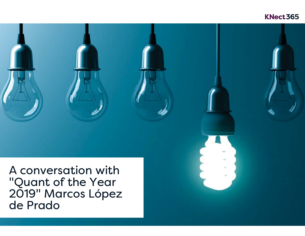# KNect365

A conversation with "Quant of the Year 2019" Marcos López de Prado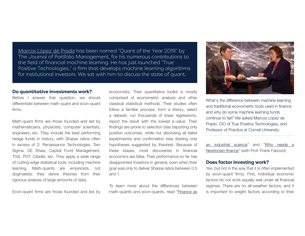<u>Marcos López de Prado</u> has been named "Quant of the Year 2019" by The Journal of Portfolio Management, for his numerous contributions to the field of financial machine learning. He has just launched "True Positive Technologies," a firm that develops machine learning algorithms for institutional investors. We sat with him to discuss the state of quant.

#### Do quantitative investments work?

Before I answer that question, we should differentiate between math-quant and econ-quant firms.

Math-quant firms are those founded and led by mathematicians, physicists, computer scientists, engineers, etc. They include the best performing hedge funds in history, with Sharpe ratios often in excess of 2: Renaissance Technologies, Two Sigma, DE Shaw, Capital Fund Management, TGS, PDT, Citadel, etc. They apply <sup>a</sup> wide range of cutting-edge statistical tools, including machine learning. Math-quants are empiricists, not dogmatists: they derive theories from their rigorous analysis of large amounts of data.

Econ-quant firms are those founded and led by

economists. Their quantitative toolkit is mostly comprised of econometric analysis and other classical statistical methods. Their studies oftenfollow <sup>a</sup> familiar process: form <sup>a</sup> theory, select <sup>a</sup> dataset, run thousands of linear regressions, report the result with the lowest p-value. Their findings are prone to selection bias (reporting only positive outcomes, while not disclosing all failed experiments) and confirmation bias (testing only hypotheses suggested by theories). Because of these biases, most discoveries in financial economics are false. Their performance so far has disappointed investors in general, even when their goal was only to deliver Sharpe ratios between 0.5 and 1.

To learn more about the differences betweenmath-quants and econ-quants, read "Finance as



What's the difference between machine learning and traditional econometric tools used in financeand why do some machine learning funds continue to fail? We asked Marcos López de Prado, CIO of True Positive Technologies, and Professor of Practice at Cornell University.

an industrial science" and "Who needs a Newtonian finance" (with Prof. Frank Fabozzi).

### **Does factor investing work?**

Yes, but not in the way that it is often implemented by econ-quant firms. First, individual economic factors do not work equally well under all financial regimes. There are no all-weather factors, and it is important to weight factors according to their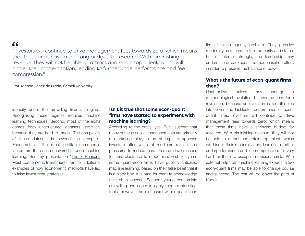## $66$

"Investors will continue to drive management fees towards zero, which means that these firms have a shrinking budget for research. With diminishing revenue, they will not be able to attract and retain top talent, which will hinder their modernisation, leading to further underperformance and fee compression."

Prof. Marcos López de Prado, Cornell University

idoneity under the prevailing financial regime. Recognising those regimes requires machine learning techniques. Second, most of the alpha comes from unstructured datasets, precisely because they are hard to model. The complexity of these datasets is beyond the grasp of Econometrics. The most profitable economic factors are the ones uncovered through machine learning. See my presentation "The 7 Reasons Most Econometric Investments Fail" for additionalexamples of how econometric methods have led to false investment strategies.

### **Isn't it true that some econ-quant** firms have started to experiment with **machine learning?**

According to the press, yes. But I suspect that many of these public announcements are primarily <sup>a</sup> marketing ploy, in an attempt to appease investors after years of mediocre results and pressures to reduce fees. There are two reasons for this reluctance to modernise. First, for years some quant-econ firms have publicly criticised machine learning, based on their false belief that it is <sup>a</sup> black box. It is hard for them to acknowledge their obsolescence. Second, young economists are willing and eager to apply modern statistical tools, however the old guard within quant-econ

firms has an agency problem. They perceive modernity as <sup>a</sup> threat to their authority and status. In this internal struggle, the leadership may undermine or backpedal the modernisation effort, in order to preserve the balance of power.

### **What's the future of econ-quant firms ,**

Unattractive, unless they undergo <sup>a</sup> methodological revolution. I stress the need for <sup>a</sup> revolution, because an evolution is too little too late. Given the lackluster performance of econquant firms, investors will continue to drive management fees towards zero, which means that these firms have <sup>a</sup> shrinking budget for research. With diminishing revenue, they will not be able to attract and retain top talent, which will hinder their modernisation, leading to further underperformance and fee compression. It's very hard for them to escape this vicious circle. With external help from machine learning experts, <sup>a</sup> few econ-quant firms may be able to change course and succeed. The rest will go down the path of Kodak.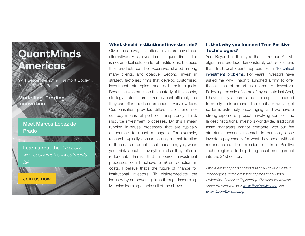# **QuantMinds Americas**

9-11 September 2019 | Fairmont Copley Plaza - Boston, Boston

**Modelling. Trading.** Innovation.

## Meet Marcos López de Prado

Join us now

Learn about the *7 reasons* why econometric investments fail

### **What should institutional investors do?**

Given the above, institutional investors have three alternatives: First, invest in math-quant firms. This is not an ideal solution for all institutions, because their products can be expensive, shared among many clients, and opaque. Second, invest in strategy factories: firms that develop customised investment strategies and sell their signals. Because investors keep the custody of the assets, strategy factories are extremely cost-efficient, and they can offer good performance at very low fees. Customisation provides differentiation, and nocustody means full portfolio transparency. Third, insource investment processes. By this I mean running in-house processes that are typically outsourced to quant managers. For example, research typically consumes only <sup>a</sup> small fraction of the costs of quant asset managers, yet, when you think about it, everything else they offer is redundant. Firms that insource investmentprocesses could achieve <sup>a</sup> 90% reduction in costs. I believe that's the future of finance forinstitutional investors: To disintermediate theindustry by empowering firms through insourcing. Machine learning enables all of the above.

### **Is that why you founded True Positive Technologies?**

Yes. Beyond all the hype that surrounds AI, ML algorithms produce demonstrably better solutions than traditional quant approaches in 10 critical investment problems. For years, investors have asked me why I hadn't launched <sup>a</sup> firm to offer these state-of-the-art solutions to investors.Following the sale of some of my patents last April, I have finally accumulated the capital I needed to satisfy their demand. The feedback we've got so far is extremely encouraging, and we have <sup>a</sup> strong pipeline of projects involving some of the largest institutional investors worldwide. Traditional asset managers cannot compete with our fee structure, because research is our only cost: investors pay exactly for what they need, without redundancies. The mission of True PositiveTechnologies is to help bring asset management into the 21st century.

Prof. Marcos López de Prado is the CIO of True Positive Technologies, and a professor of practice at Cornell University's School of Engineering. For more information about his research, visit www.TruePositive.com and www.QuantResearch.org